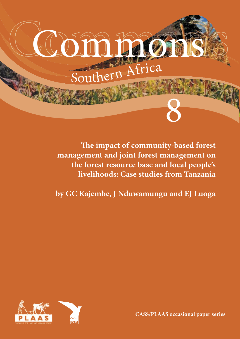

**e impact of community-based forest management and joint forest management on the forest resource base and local people's livelihoods: Case studies from Tanzania**

**by GC Kajembe, J Nduwamungu and EJ Luoga**



**CASS/PLAAS occasional paper series**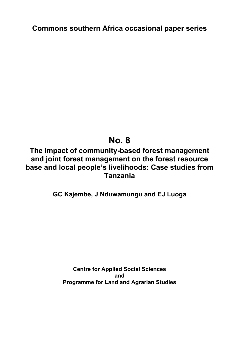**Commons southern Africa occasional paper series** 

# **No. 8**

## **The impact of community-based forest management and joint forest management on the forest resource base and local people's livelihoods: Case studies from Tanzania**

### **GC Kajembe, J Nduwamungu and EJ Luoga**

**Centre for Applied Social Sciences and Programme for Land and Agrarian Studies**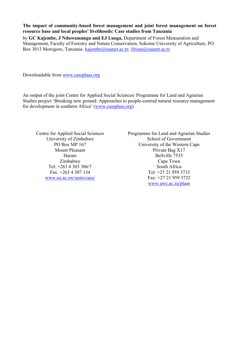**The impact of community-based forest management and joint forest management on forest resource base and local peoples' livelihoods: Case studies from Tanzania**  by **GC Kajembe, J Nduwamungu and EJ Luoga,** Department of Forest Mensuration and Management, Faculty of Forestry and Nature Conservation, Sokoine University of Agriculture, PO Box 3013 Morogoro, Tanzania. [kajembe@suanet.ac.tz](mailto:kajembe@suanet.ac.tz); [ifrisua@suanet.ac.tz](mailto:ifrisua@suanet.ac.tz)

Downloadable from [www.cassplaas.org](http://www.cassplaas.org/)

An output of the joint Centre for Applied Social Sciences/ Programme for Land and Agrarian Studies project 'Breaking new ground: Approaches to people-centred natural resource management for development in southern Africa' [\(www.cassplass.org](http://www.cassplass.org/))

Centre for Applied Social Sciences University of Zimbabwe PO Box MP 167 Mount Pleasant Harare Zimbabwe Tel: +263 4 303 306/7 Fax: +263 4 307 134 [www.uz.ac.zw/units/cass/](http://www.uz.ac.zw/units/cass/)

Programme for Land and Agrarian Studies School of Government University of the Western Cape Private Bag X17 Bellville 7535 Cape Town South Africa Tel: +27 21 959 3733 Fax: +27 21 959 3732 [www.uwc.ac.za/plaas](http://www.uwc.ac.za/plaas)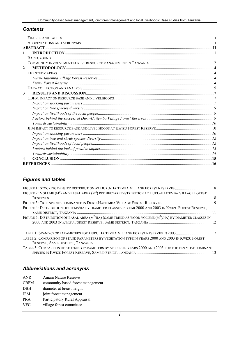#### <span id="page-3-0"></span>*Contents*

| 1                       |  |
|-------------------------|--|
|                         |  |
|                         |  |
| $\mathbf{2}$            |  |
|                         |  |
|                         |  |
|                         |  |
|                         |  |
| 3                       |  |
|                         |  |
|                         |  |
|                         |  |
|                         |  |
|                         |  |
|                         |  |
|                         |  |
|                         |  |
|                         |  |
|                         |  |
|                         |  |
|                         |  |
| $\overline{\mathbf{4}}$ |  |
|                         |  |

#### *Figures and tables*

| FIGURE 2: VOLUME $(M^3)$ AND BASAL AREA $(M^2)$ PER HECTARE DISTRIBUTION AT DURU-HAITEMBA VILLAGE FOREST       |  |
|----------------------------------------------------------------------------------------------------------------|--|
|                                                                                                                |  |
|                                                                                                                |  |
| FIGURE 4: DISTRIBUTION OF STEMS/HA BY DIAMETER CLASSES IN YEAR 2000 AND 2003 IN KWIZU FOREST RESERVE,          |  |
|                                                                                                                |  |
| FIGURE 5: DISTRIBUTION OF BASAL AREA $(M^2/HA)$ (SAME TREND AS WOOD VOLUME $(M^3)/HA$ ) BY DIAMETER CLASSES IN |  |
|                                                                                                                |  |
| TABLE 1: STAND CROP PARAMETERS FOR DURU HAITEMBA VILLAGE FOREST RESERVES IN 20037                              |  |
| TABLE 2: COMPARISON OF STAND PARAMETERS BY VEGETATION TYPE IN YEARS 2000 AND 2003 IN KWIZU FOREST              |  |
|                                                                                                                |  |
| TABLE 3: COMPARISON OF STOCKING PARAMETERS BY SPECIES IN YEARS 2000 AND 2003 FOR THE TEN MOST DOMINANT         |  |
|                                                                                                                |  |

### *Abbreviations and acronyms*

| <b>ANR</b>  | Amani Nature Reserve              |
|-------------|-----------------------------------|
| <b>CBFM</b> | community based forest management |
| <b>DBH</b>  | diameter at breast height         |
| <b>JFM</b>  | joint forest management           |
| <b>PRA</b>  | Participatory Rural Appraisal     |
| <b>VFC</b>  | village forest committee          |
|             |                                   |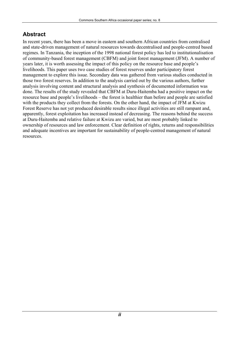### <span id="page-4-0"></span>**Abstract**

In recent years, there has been a move in eastern and southern African countries from centralised and state-driven management of natural resources towards decentralised and people-centred based regimes. In Tanzania, the inception of the 1998 national forest policy has led to institutionalisation of community-based forest management (CBFM) and joint forest management (JFM). A number of years later, it is worth assessing the impact of this policy on the resource base and people's livelihoods. This paper uses two case studies of forest reserves under participatory forest management to explore this issue. Secondary data was gathered from various studies conducted in those two forest reserves. In addition to the analysis carried out by the various authors, further analysis involving content and structural analysis and synthesis of documented information was done. The results of the study revealed that CBFM at Duru-Haitemba had a positive impact on the resource base and people's livelihoods – the forest is healthier than before and people are satisfied with the products they collect from the forests. On the other hand, the impact of JFM at Kwizu Forest Reserve has not yet produced desirable results since illegal activities are still rampant and, apparently, forest exploitation has increased instead of decreasing. The reasons behind the success at Duru-Haitemba and relative failure at Kwizu are varied, but are most probably linked to ownership of resources and law enforcement. Clear definition of rights, returns and responsibilities and adequate incentives are important for sustainability of people-centred management of natural resources.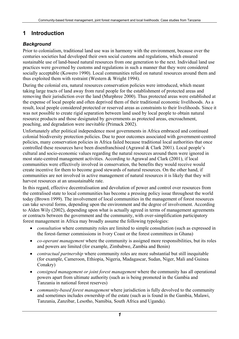### <span id="page-5-0"></span>**1 Introduction**

### *Background*

Prior to colonialism, traditional land use was in harmony with the environment, because over the centuries societies had developed their own social customs and regulations, which ensured sustainable use of land-based natural resources from one generation to the next. Individual land use practices were governed by customs and regulations in such a manner that they were considered socially acceptable (Kowero 1990). Local communities relied on natural resources around them and thus exploited them with restraint (Western & Wright 1994).

During the colonial era, natural resources conservation policies were introduced, which meant taking large tracts of land away from rural people for the establishment of protected areas and removing their jurisdiction over the land (Murphree 2000). Thus protected areas were established at the expense of local people and often deprived them of their traditional economic livelihoods. As a result, local people considered protected or reserved areas as constraints to their livelihoods. Since it was not possible to create rigid separation between land used by local people to obtain natural resource products and those designated by governments as protected areas, encroachment, poaching, and degradation were inevitable (Primack 2002).

Unfortunately after political independence most governments in Africa embraced and continued colonial biodiversity protection policies. Due to poor outcomes associated with government-centred policies, many conservation policies in Africa failed because traditional local authorities that once controlled these resources have been disenfranchised (Agrawal & Clark 2001). Local people's cultural and socio-economic values regarding the natural resources around them were ignored in most state-centred management activities. According to Agrawal and Clark (2001), if local communities were effectively involved in conservation, the benefits they would receive would create incentive for them to become good stewards of natural resources. On the other hand, if communities are not involved in active management of natural resources it is likely that they will harvest resources at an unsustainable rate.

In this regard, effective decentralisation and devolution of power and control over resources from the centralised state to local communities has become a pressing policy issue throughout the world today (Brown 1999). The involvement of local communities in the management of forest resources can take several forms, depending upon the environment and the degree of involvement. According to Alden Wily (2002), depending upon what is actually agreed in terms of management agreements or contracts between the government and the community, with over-simplification participatory forest management in Africa may broadly assume the following typologies:

- *consultation* where community roles are limited to simple consultation (such as expressed in the forest-farmer commissions in Ivory Coast or the forest committees in Ghana)
- *co-operant management* where the community is assigned more responsibilities, but its roles and powers are limited (for example, Zimbabwe, Zambia and Benin)
- *contractual partnership* where community roles are more substantial but still inequitable (for example, Cameroon, Ethiopia, Nigeria, Madagascar, Sudan, Niger, Mali and Guinea Conakry)
- *consigned management or joint forest management* where the community has all operational powers apart from ultimate authority (such as is being promoted in the Gambia and Tanzania in national forest reserves)
- *community-based forest management* where jurisdiction is fully devolved to the community and sometimes includes ownership of the estate (such as is found in the Gambia, Malawi, Tanzania, Zanzibar, Lesotho, Namibia, South Africa and Uganda).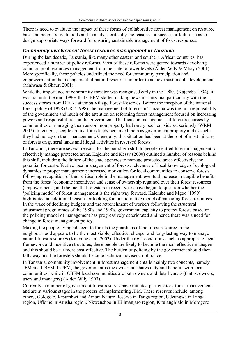<span id="page-6-0"></span>There is need to evaluate the impact of these forms of collaborative forest management on resource base and people's livelihoods and to analyse critically the reasons for success or failure so as to design appropriate ways forward for ensuring sustainable management of forest resources.

#### *Community involvement forest resource management in Tanzania*

During the last decade, Tanzania, like many other eastern and southern African countries, has experienced a number of policy reforms. Most of these reforms were geared towards devolving common pool resources management from the state to lower levels (Alden Wily & Mbaya 2001). More specifically, these policies underlined the need for community participation and empowerment in the management of natural resources in order to achieve sustainable development (Mniwasa & Shauri 2001).

While the importance of community forestry was recognised early in the 1980s (Kajembe 1994), it was not until the mid-1990s that CBFM started making news in Tanzania, particularly with the success stories from Duru-Haitemba Village Forest Reserves. Before the inception of the national forest policy of 1998 (URT 1998), the management of forests in Tanzania was the full responsibility of the government and much of the attention on reforming forest management focused on increasing powers and responsibilities on the government. The focus on management of forest resources by communities or managing them as common property had rarely been considered seriously (WRM 2002). In general, people around forestlands perceived them as government property and as such, they had no say on their management. Generally, this situation has been at the root of most misuses of forests on general lands and illegal activities in reserved forests.

In Tanzania, there are several reasons for the paradigm shift to people-centred forest management to effectively manage protected areas. Kajembe and Kessy (2000) outlined a number of reasons behind this shift, including the failure of the state agencies to manage protected areas effectively; the potential for cost-effective local management of forests; relevance of local knowledge of ecological dynamics to proper management; increased motivation for local communities to conserve forests following recognition of their critical role in the management, eventual increase in tangible benefits from the forest (economic incentives) and sense of ownership regained over their forest resources (empowerment); and the fact that foresters in recent years have begun to question whether the 'policing model' of forest management is the right way forward. Kajembe and Mgoo (1999) highlighted an additional reason for looking for an alternative model of managing forest resources. In the wake of declining budgets and the retrenchment of workers following the structural adjustment programmes of the 1980s and 1990s, government capacity to protect forests based on the policing model of management has progressively deteriorated and hence there was a need for change in forest management policy.

Making the people living adjacent to forests the guardians of the forest resource in the neighbourhood appears to be the most viable, effective, cheaper and long-lasting way to manage natural forest resources (Kajembe et al. 2003). Under the right conditions, such as appropriate legal framework and incentive structures, these people are likely to become the most effective managers and this should be far more cost-effective. The burden of policing by the government should then fall away and the foresters should become technical advisers, not police.

In Tanzania, community involvement in forest management entails mainly two concepts, namely JFM and CBFM. In JFM, the government is the owner but shares duty and benefits with local communities, while in CBFM local communities are both owners and duty bearers (that is, owners, users and managers) (Alden Wily 1997).

Currently, a number of government forest reserves have initiated participatory forest management and are at various stages in the process of implementing JFM. These reserves include, among others, Gologolo, Kipumbwi and Amani Nature Reserve in Tanga region, Udzungwa in Iringa region, Ufiome in Arusha region, Nkwenshoo in Kilimanjaro region, Kitulangh'alo in Morogoro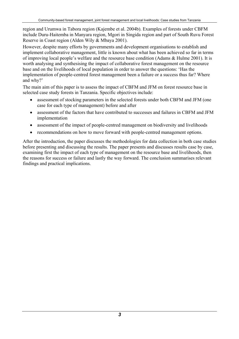region and Urumwa in Tabora region (Kajembe et al. 2004b). Examples of forests under CBFM include Duru-Haitemba in Manyara region, Mgori in Singida region and part of South Ruvu Forest Reserve in Coast region (Alden Wily & Mbaya 2001).

However, despite many efforts by governments and development organisations to establish and implement collaborative management, little is known about what has been achieved so far in terms of improving local people's welfare and the resource base condition (Adams & Hulme 2001). It is worth analysing and synthesising the impact of collaborative forest management on the resource base and on the livelihoods of local population in order to answer the questions: 'Has the implementation of people-centred forest management been a failure or a success thus far? Where and why?'

The main aim of this paper is to assess the impact of CBFM and JFM on forest resource base in selected case study forests in Tanzania. Specific objectives include:

- assessment of stocking parameters in the selected forests under both CBFM and JFM (one case for each type of management) before and after
- assessment of the factors that have contributed to successes and failures in CBFM and JFM implementation
- assessment of the impact of people-centred management on biodiversity and livelihoods
- recommendations on how to move forward with people-centred management options.

After the introduction, the paper discusses the methodologies for data collection in both case studies before presenting and discussing the results. The paper presents and discusses results case by case, examining first the impact of each type of management on the resource base and livelihoods, then the reasons for success or failure and lastly the way forward. The conclusion summarises relevant findings and practical implications.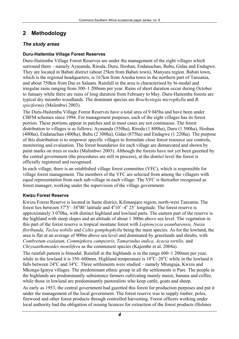### <span id="page-8-0"></span>**2 Methodology**

#### *The study areas*

#### **Duru-Haitemba Village Forest Reserves**

Duru-Haitemba Village Forest Reserves are under the management of the eight villages which surround them – namely Ayasanda, Riroda, Duru, Hoshan, Endanachan, Bubu, Gidas and Endagwe. They are located in Babati district (about 25km from Babati town), Manyara region. Babati town, which is the regional headquarters, is 167km from Arusha town in the northern part of Tanzania, and about 750km from Dar es Salaam. Rainfall in the area is characterised by bi-modal and irregular rains ranging from 300–1 200mm per year. Rains of short duration occur during October to January while there are rains of long duration from February to May. Duru-Haitemba forests are typical dry miombo woodlands. The dominant species are *Brachystegia microphylla* and *B. spiciformis* (Malimbwi 2003)*.*

The Duru-Haitemba Village Forest Reserves have a total area of 9 045ha and have been under CBFM schemes since 1994. For management purposes, each of the eight villages has its forest portion. These portions appear in patches and in most cases are not continuous. The forest distribution to villages is as follows: Ayasanda (550ha), Riroda (1 800ha), Duru (1 500ha), Hoshan (400ha), Endanachan (400ha), Bubu (2 300ha), Gidas (875ha) and Endagwe (1 220ha). The purpose of this distribution is to empower specific villages to formulate close forest resource use controls, monitoring and evaluation. The forest boundaries for each village are demarcated and shown by paint marks on trees or rocks (Malimbwi 2003). Although the forests have not yet been gazetted by the central government (the procedures are still in process), at the district level the forest is officially registered and recognised.

In each village, there is an established village forest committee (VFC), which is responsible for village forest management. The members of the VFC are selected from among the villagers with equal representation from each sub-village in each village. The VFC is thereafter recognised as forest manager, working under the supervision of the village government.

#### **Kwizu Forest Reserve**

Kwizu Forest Reserve is located in Same district, Kilimanjaro region, north-west Tanzania. The forest lies between  $37^{\circ}5' - 38^{\circ}00'$  latitude and  $4^{\circ}10' - 4^{\circ}25'$  longitude. The forest reserve is approximately 3 070ha, with distinct highland and lowland parts. The eastern part of the reserve is the highland with steep slopes and an altitude of about 1 300m above sea level. The vegetation in this part of the forest reserve is tropical montane forest with *Leptoncycia usambarensis, Nuxia floribunda, Teclea nobilis* and *Celtis gomphophylla* being the main species. As for the lowland, the area is flat at an average of 900m above sea level and dominated by grasslands and shrubs, with *Combretum exalatum, Commiphora campestris, Tamarindus indica, Acacia tortilis,* and *Chrysanthomoides monilifera* as the commonest species (Kajembe et al. 2004a).

The rainfall pattern is bimodal. Rainfall in the highlands is in the range 600–1 200mm per year, while in the lowland it is 350–600mm. Highland temperature is  $18^{\circ}C - 28^{\circ}C$  while in the lowland it falls between 24°C and 34°C. Three settlements were studied – namely Mtunguja, Kwizu and Mkonga-Iginyu villages. The predominant ethnic group in all the settlements is Pare. The people in the highlands are predominantly subsistence farmers cultivating mainly maize, banana and coffee, while those in lowland are predominantly pastoralists who keep cattle, goats and sheep.

As early as 1953, the central government had gazetted this forest for production purposes and put it under the management of the local government. The forest reserve was to supply timber, poles, firewood and other forest products through controlled harvesting. Forest officers working under local authority had the obligation of issuing licences for extraction of the forest products (Holmes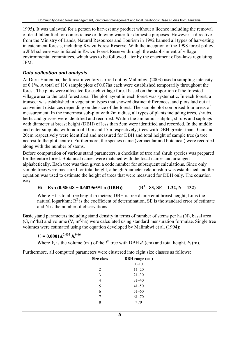<span id="page-9-0"></span>1995). It was unlawful for a person to harvest any product without a licence including the removal of dead fallen fuel for domestic use or drawing water for domestic purposes. However, a directive from the Ministry of Lands, Natural Resources and Tourism in 1992 banned all types of harvesting in catchment forests, including Kwizu Forest Reserve. With the inception of the 1998 forest policy, a JFM scheme was initiated in Kwizu Forest Reserve through the establishment of village environmental committees, which was to be followed later by the enactment of by-laws regulating JFM.

#### *Data collection and analysis*

At Duru-Haitemba, the forest inventory carried out by Malimbwi (2003) used a sampling intensity of 0.1%. A total of 110 sample plots of 0.07ha each were established temporarily throughout the forest. The plots were allocated for each village forest based on the proportion of the forested village area to the total forest area. The plot layout in each forest was systematic. In each forest, a transect was established in vegetation types that showed distinct differences, and plots laid out at convenient distances depending on the size of the forest. The sample plot comprised four areas of measurement. In the innermost sub-plot with 2m radius, all types of plants including trees, shrubs, herbs and grasses were identified and recorded. Within the 5m radius subplot, shrubs and saplings with diameter at breast height (DBH) of less than 5cm were identified and recorded. In the middle and outer subplots, with radii of 10m and 15m respectively, trees with DBH greater than 10cm and 20cm respectively were identified and measured for DBH and total height of sample tree (a tree nearest to the plot centre). Furthermore, the species name (vernacular and botanical) were recorded along with the number of stems.

Before computation of various stand parameters, a checklist of tree and shrub species was prepared for the entire forest. Botanical names were matched with the local names and arranged alphabetically. Each tree was then given a code number for subsequent calculations. Since only sample trees were measured for total height, a height/diameter relationship was established and the equation was used to estimate the height of trees that were measured for DBH only. The equation was:

#### $Ht = Exp (0.58048 + 0.602965 \times Ln (DBH))$  $(R^2 = 83, SE = 1.32, N = 132)$

Where Ht is total tree height in meters; DBH is tree diameter at breast height; Ln is the natural logarithm;  $R^2$  is the coefficient of determination, SE is the standard error of estimate and N is the number of observations

Basic stand parameters including stand density in terms of number of stems per ha (N), basal area  $(G, m^2/ha)$  and volume  $(V, m^3/ha)$  were calculated using standard mensuration formulae. Single tree volumes were estimated using the equation developed by Malimbwi et al. (1994):

 $V_i = 0.0001 d_i^{2.032} h_i^{0.66}$ 

Where  $V_i$  is the volume (m<sup>3</sup>) of the *i*<sup>th</sup> tree with DBH  $d_i$  (cm) and total height,  $h_i$  (m).

Furthermore, all computed parameters were clustered into eight size classes as follows:

| <b>Size class</b> | <b>DBH</b> range (cm) |
|-------------------|-----------------------|
| 1                 | $1 - 10$              |
| 2                 | $11 - 20$             |
| 3                 | $21 - 30$             |
| 4                 | $31 - 40$             |
| 5                 | $41 - 50$             |
| 6                 | $51 - 60$             |
| 7                 | $61 - 70$             |
|                   | >70                   |
|                   |                       |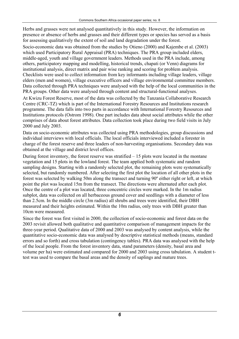Herbs and grasses were not analysed quantitatively in this study. However, the information on presence or absence of herbs and grasses and their different types or species has served as a basis for assessing qualitatively the extent of soil and land degradation under the forest.

Socio-economic data was obtained from the studies by Otieno (2000) and Kajembe et al. (2003) which used Participatory Rural Appraisal (PRA) techniques. The PRA group included elders, middle-aged, youth and village government leaders. Methods used in the PRA include, among others, participatory mapping and modelling, historical trends, chapati (or Venn) diagrams for institutional analysis, direct matrix and pair wise ranking and scoring for problem analysis. Checklists were used to collect information from key informants including village leaders, village elders (men and women), village executive officers and village environmental committee members. Data collected through PRA techniques were analysed with the help of the local communities in the PRA groups. Other data were analysed through content and structural-functional analyses.

At Kwizu Forest Reserve, most of the data was collected by the Tanzania Collaborative Research Centre (CRC-TZ) which is part of the International Forestry Resources and Institutions research programme. The data falls into two parts in accordance with International Forestry Resources and Institutions protocols (Ostrom 1998). One part includes data about social attributes while the other comprises of data about forest attributes. Data collection took place during two field visits in July 2000 and July 2003.

Data on socio-economic attributes was collected using PRA methodologies, group discussions and individual interviews with local officials. The local officials interviewed included a forester in charge of the forest reserve and three leaders of non-harvesting organisations. Secondary data was obtained at the village and district level offices.

During forest inventory, the forest reserve was stratified – 15 plots were located in the montane vegetation and 15 plots in the lowland forest. The team applied both systematic and random sampling designs. Starting with a randomly selected plot, the remaining plots were systematically selected, but randomly numbered. After selecting the first plot the location of all other plots in the forest was selected by walking 50m along the transect and turning 90º either right or left, at which point the plot was located 15m from the transect. The directions were alternated after each plot. Once the centre of a plot was located, three concentric circles were marked. In the 1m radius subplot, data was collected on all herbaceous ground cover and seedlings with a diameter of less than 2.5cm. In the middle circle (3m radius) all shrubs and trees were identified, their DBH measured and their heights estimated. Within the 10m radius, only trees with DBH greater than 10cm were measured.

Since the forest was first visited in 2000, the collection of socio-economic and forest data on the 2003 revisit allowed both qualitative and quantitative comparison of management impacts for the three-year period. Qualitative data of 2000 and 2003 was analysed by content analysis, while the quantitative socio-economic data was analysed by descriptive statistical methods (means, standard errors and so forth) and cross tabulation (contingency tables). PRA data was analysed with the help of the local people. From the forest inventory data, stand parameters (density, basal area and volume per ha) were estimated and compared for 2000 and 2003 using cross tabulation. A student ttest was used to compare the basal areas and the density of saplings and mature trees.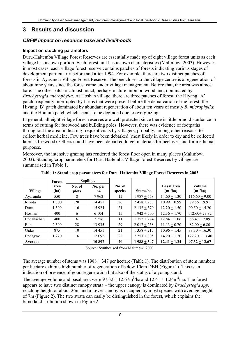### <span id="page-11-0"></span>**3 Results and discussion**

#### *CBFM impact on resource base and livelihoods*

#### **Impact on stocking parameters**

Duru-Haitemba Village Forest Reserves are essentially made up of eight village forest units as each village has its own portion. Each forest unit has its own characteristics (Malimbwi 2003). However, in most cases, each village forest reserve contains patches of forests indicating various stages of development particularly before and after 1994. For example, there are two distinct patches of forests in Ayasanda Village Forest Reserve. The one closer to the village centre is a regeneration of about nine years since the forest came under village management. Before that, the area was almost bare. The other patch is almost intact, perhaps mature miombo woodland, dominated by *Brachystegia microphylla*. At Hoshan village, there are three patches of forest: the Hiyang 'A' patch frequently interrupted by farms that were present before the demarcation of the forest; the Hiyang 'B' patch dominated by abundant regeneration of about ten years of mostly *B. microphylla*; and the Homum patch which seems to be degraded due to overgrazing.

In general, all eight village forest reserves are well protected since there is little or no disturbance in terms of cutting for fuelwood and building poles. However, there was evidence of footpaths throughout the area, indicating frequent visits by villagers, probably, among other reasons, to collect herbal medicine. Few trees have been debarked (most likely in order to dry and be collected later as firewood). Others could have been debarked to get materials for beehives and for medicinal purposes.

Moreover, the intensive grazing has rendered the forest floor open in many places (Malimbwi 2003). Standing crop parameters for Duru Haitemba Village Forest Reserves by village are summarised in Table 1.

|                                                                    | Forest  | <b>Saplings</b>   |          |                                 |                      |                |                  |
|--------------------------------------------------------------------|---------|-------------------|----------|---------------------------------|----------------------|----------------|------------------|
| No. of<br>No. per<br>area<br><b>Village</b><br>(ha)<br>plots<br>ha |         | No. of<br>species | Stems/ha | <b>Basal</b> area<br>$(m^2/ha)$ | Volume<br>$(m^3/ha)$ |                |                  |
| Ayasanda                                                           | 550     | 8                 | 7962     | 12                              | $1987 + 558$         | $14.60 + 1.30$ | $116.60 + 9.00$  |
| Riroda                                                             | 1 800   | 20                | 14 45 1  | 26                              | $2458 + 283$         | $10.99 + 0.99$ | $79.86 + 9.91$   |
| Duru                                                               | 1500    | 16                | 15 9 24  | 21                              | $2132 + 379$         | $12.20 + 1.50$ | $90.50 + 14.20$  |
| Hoshan                                                             | 400     | 6                 | 6 1 0 4  | 15                              | $1942 + 500$         | $12.36 + 1.70$ | $112.60 + 23.82$ |
| Endanachan                                                         | 400     | 6                 | 2 2 5 6  | 11                              | $1752 + 274$         | $12.84 + 1.06$ | $86.47 + 7.89$   |
| Bubu                                                               | 2 3 0 0 | 28                | 13 9 35  | 29                              | $2017 + 258$         | $11.13 + 0.70$ | $82.00 \pm 6.80$ |
| Gidas                                                              | 875     | 10                | 14 45 1  | 21                              | $1358 + 215$         | $10.96 + 1.45$ | $88.30 + 16.30$  |
| Endagwe                                                            | 1 2 2 0 | 16                | 12 092   | 22                              | $2257 + 305$         | $14.20 + 1.20$ | $122.20 + 13.40$ |
| Average                                                            |         |                   | 10897    | <b>20</b>                       | $1988 + 347$         | $12.41 + 1.24$ | $97.32 + 12.67$  |

**Table 1: Stand crop parameters for Duru Haitemba Village Forest Reserves in 2003** 

Source: Synthesised from Malimbwi 2003

The average number of stems was  $1988 \pm 347$  per hectare (Table 1). The distribution of stem numbers per hectare exhibits high number of regeneration of below 10cm DBH (Figure 1). This is an indication of presence of good regeneration but also of the status of a young stand.

The average volume and basal area were  $97.32 \pm 12.67 \text{m}^3/\text{ha}$  and  $12.41 \pm 1.24 \text{m}^2/\text{ha}$ . The forest appears to have two distinct canopy strata – the upper canopy is dominated by *Brachystegia spp.* reaching height of about 26m and a lower canopy is occupied by most species with average height of 7m (Figure 2). The two strata can easily be distinguished in the forest, which explains the bimodal distribution shown in Figure 2.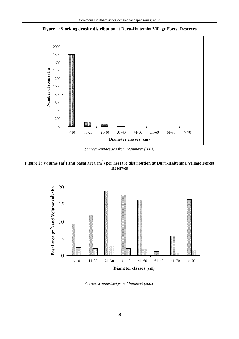<span id="page-12-0"></span>**Figure 1: Stocking density distribution at Duru-Haitemba Village Forest Reserves** 



*Source: Synthesised from Malimbwi (2003)*

#### Figure 2: Volume (m<sup>3</sup>) and basal area (m<sup>2</sup>) per hectare distribution at Duru-Haitemba Village Forest **Reserves**



*Source: Synthesised from Malimbwi (2003)*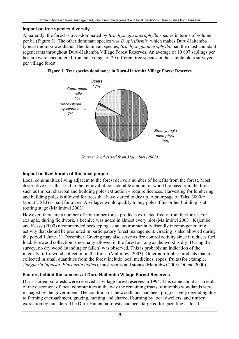#### <span id="page-13-0"></span>**Impact on tree species diversity**

Apparently, the forest is over-dominated by *Brachystegia microphylla* species in terms of volume per ha (Figure 3). The other dominant species was *B. spiciformis,* which makes Duru-Haitemba typical miombo woodland. The dominant species, *Brachystegia microphylla,* had the most abundant regenerants throughout Duru-Haitemba Village Forest Reserves. An average of 10 897 saplings per hectare were encountered from an average of 20 different tree species in the sample plots surveyed per village forest.





*Source: Synthesised from Malimbwi (2003)* 

#### **Impact on livelihoods of the local people**

Local communities living adjacent to the forest derive a number of benefits from the forest. Most destructive uses that lead to the removal of considerable amount of wood biomass from the forest – such as timber, charcoal and building poles extraction – require licences. Harvesting for lumbering and building poles is allowed for trees that have started to dry up. A stumpage of Tshs. 3000/= (about US\$3) is paid for a tree. A villager would qualify to buy poles if his or her building is at roofing stage (Malimbwi 2003).

However, there are a number of non-timber forest products extracted freely from the forest. For example, during fieldwork, a beehive was noted in almost every plot (Malimbwi 2003). Kajembe and Kessy (2000) recommended beekeeping as an environmentally friendly income-generating activity that should be promoted in participatory forest management. Grazing is also allowed during the period 1 June–31 December. Grazing may also serve as fire control activity since it reduces fuel load. Firewood collection is normally allowed in the forest as long as the wood is dry. During the survey, no dry wood (standing or fallen) was observed. This is probably an indication of the intensity of firewood collection in the forest (Malimbwi 2003). Other non-timber products that are collected in small quantities from the forest include local medicines, ropes, fruits (for example, *Vangueria infausta, Flacourtia indica*), mushrooms and stones (Malimbwi 2003; Otieno 2000).

#### **Factors behind the success at Duru-Haitemba Village Forest Reserves**

Duru-Haitemba forests were reserved as village forest reserves in 1994. This came about as a result of the discontent of local communities at the way the remaining tracts of miombo woodlands were managed by the government. The condition of the woodlands had been progressively degrading due to farming encroachment, grazing, hunting and charcoal burning by local dwellers, and timber extraction by outsiders. The Duru-Haitemba forests had been targeted for gazetting as local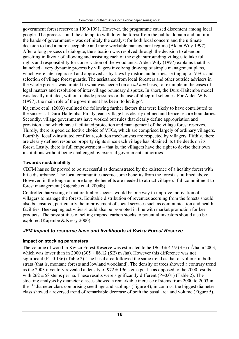<span id="page-14-0"></span>government forest reserve in 1990/1991. However, the programme caused discontent among local people. The process – and the attempt to withdraw the forest from the public domain and put it in the hands of government – was definitely the catalyst for both local concern and the ultimate decision to find a more acceptable and more workable management regime (Alden Wily 1997). After a long process of dialogue, the situation was resolved through the decision to abandon gazetting in favour of allowing and assisting each of the eight surrounding villages to take full rights and responsibility for conservation of the woodlands. Alden Wily (1997) explains that this launched a very dynamic process by villagers involving drawing of simple management plans, which were later rephrased and approved as by-laws by district authorities, setting up of VFCs and selection of village forest guards. The assistance from local foresters and other outside advisers in the whole process was limited to what was needed on an *ad hoc* basis, for example in the cases of legal matters and resolution of inter-village boundary disputes. In short, the Duru-Haitemba model was locally initiated, without outside pressures or the use of blueprint schemes. For Alden Wily (1997), the main role of the government has been 'to let it go'.

Kajembe et al. (2003) outlined the following further factors that were likely to have contributed to the success at Duru-Haitemba. Firstly, each village has clearly defined and hence secure boundaries. Secondly, village governments have worked out rules that clearly define appropriation and provision, and which have facilitated protection and management of the village forest reserves. Thirdly, there is good collective choice of VFCs, which are comprised largely of ordinary villagers. Fourthly, locally-instituted conflict resolution mechanisms are respected by villagers. Fifthly, there are clearly defined resource property rights since each village has obtained its title deeds on its forest. Lastly, there is full empowerment – that is, the villagers have the right to devise their own institutions without being challenged by external government authorities.

#### **Towards sustainability**

CBFM has so far proved to be successful as demonstrated by the existence of a healthy forest with little disturbance. The local communities accrue some benefits from the forest as outlined above. However, in the long-run more tangible benefits are needed to attract villagers' full commitment to forest management (Kajembe et al. 2004b).

Controlled harvesting of mature timber species would be one way to improve motivation of villagers to manage the forests. Equitable distribution of revenues accruing from the forests should also be ensured, particularly the improvement of social services such as communication and health facilities. Beekeeping activities should also be promoted in line with market promotion for bee products. The possibilities of selling trapped carbon stocks to potential investors should also be explored (Kajembe & Kessy 2000).

### *JFM impact to resource base and livelihoods at Kwizu Forest Reserve*

### **Impact on stocking parameters**

The volume of wood in Kwizu Forest Reserve was estimated to be  $196.3 \pm 47.9$  (SE) m<sup>3</sup>/ha in 2003, which was lower than in 2000 (305  $\pm$  86.12 (SE) m<sup>3</sup>/ha). However this difference was not significant (P= 0.136) (Table 2). The basal area followed the same trend as that of volume in both strata (that is, montane forests and lowland woodland). The density of trees showed a contrary trend as the 2003 inventory revealed a density of  $972 \pm 196$  stems per ha as opposed to the 2000 results with  $262 \pm 58$  stems per ha. These results were significantly different (P=0.01) (Table 2). The stocking analysis by diameter classes showed a remarkable increase of stems from 2000 to 2003 in the  $1<sup>st</sup>$  diameter class comprising seedlings and saplings (Figure 4); in contrast the biggest diameter class showed a reversed trend of remarkable decrease of both the basal area and volume (Figure 5).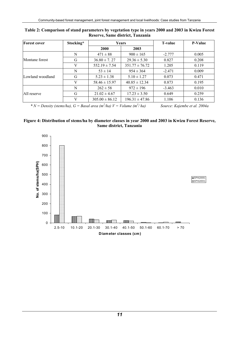| <b>Forest cover</b> | Stocking*           |                    | Years              | <b>T-value</b> | P-Value |  |
|---------------------|---------------------|--------------------|--------------------|----------------|---------|--|
|                     | <b>2000</b><br>2003 |                    |                    |                |         |  |
|                     | N                   | $471 \pm 88$       | $900 \pm 165$      | $-2.777$       | 0.005   |  |
| Montane forest      | G                   | $36.80 \pm 7.27$   | $29.36 \pm 5.30$   | 0.827          | 0.208   |  |
|                     | V                   | $552.19 \pm 7.54$  | $351.77 \pm 76.72$ | 1.205          | 0.119   |  |
|                     | N                   | $53 \pm 14$        | $954 \pm 364$      | $-2.471$       | 0.009   |  |
| Lowland woodland    | G                   | $5.23 \pm 1.38$    | $5.10 \pm 1.27$    | 0.073          | 0.471   |  |
|                     | V                   | $58.46 \pm 15.97$  | $40.85 \pm 12.34$  | 0.873          | 0.195   |  |
|                     | N                   | $262 \pm 58$       | $972 \pm 196$      | $-3.463$       | 0.010   |  |
| All reserve         | G                   | $21.02 \pm 4.67$   | $17.23 \pm 3.50$   | 0.649          | 0.259   |  |
|                     | V                   | $305.00 \pm 86.12$ | $196.31 \pm 47.86$ | 1.106          | 0.136   |  |

#### <span id="page-15-0"></span>**Table 2: Comparison of stand parameters by vegetation type in years 2000 and 2003 in Kwizu Forest Reserve, Same district, Tanzania**

 $* N = Density (stems/ha)$ ,  $G = Basal area (m<sup>2</sup>/ha) V = Volume (m<sup>3</sup>)$ 

*/ ha) Source: Kajembe et al. 2004a* 

#### **Figure 4: Distribution of stems/ha by diameter classes in year 2000 and 2003 in Kwizu Forest Reserve, Same district, Tanzania**

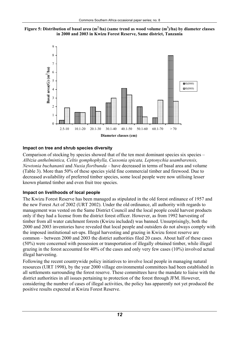<span id="page-16-0"></span>



#### **Impact on tree and shrub species diversity**

Comparison of stocking by species showed that of the ten most dominant species six species – *Albizia anthelmintica, Celtis gomphophylla, Cussonia spicata, Leptonychia usambarensis, Newtonia buchananii* and *Nuxia floribunda* – have decreased in terms of basal area and volume (Table 3). More than 50% of these species yield fine commercial timber and firewood. Due to decreased availability of preferred timber species, some local people were now utilising lesser known planted timber and even fruit tree species.

#### **Impact on livelihoods of local people**

The Kwizu Forest Reserve has been managed as stipulated in the old forest ordinance of 1957 and the new Forest Act of 2002 (URT 2002). Under the old ordinance, all authority with regards to management was vested on the Same District Council and the local people could harvest products only if they had a license from the district forest officer. However, as from 1992 harvesting of timber from all water catchment forests (Kwizu included) was banned. Unsurprisingly, both the 2000 and 2003 inventories have revealed that local people and outsiders do not always comply with the imposed institutional set-ups. Illegal harvesting and grazing in Kwizu forest reserve are common – between 2000 and 2003 the district authorities filed 20 cases. About half of these cases (50%) were concerned with possession or transportation of illegally obtained timber, while illegal grazing in the forest accounted for 40% of the cases and only very few cases (10%) involved actual illegal harvesting.

Following the recent countrywide policy initiatives to involve local people in managing natural resources (URT 1998), by the year 2000 village environmental committees had been established in all settlements surrounding the forest reserve. These committees have the mandate to liaise with the district authorities in all issues pertaining to protection of the forest through JFM. However, considering the number of cases of illegal activities, the policy has apparently not yet produced the positive results expected at Kwizu Forest Reserve.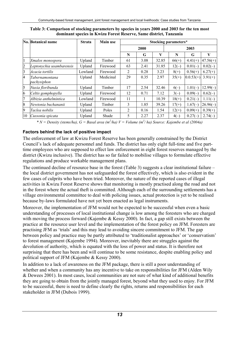|              | No. Botanical name            | <b>Strata</b> | <b>Main use</b> | <b>Stocking parameters*</b> |      |       |         |             |            |
|--------------|-------------------------------|---------------|-----------------|-----------------------------|------|-------|---------|-------------|------------|
|              |                               |               |                 |                             | 2000 |       | 2003    |             |            |
|              |                               |               |                 | N                           | G    | V     | N       | G           | V          |
| $\mathbf{1}$ | Xmalos monospora              | Upland        | Timber          | 61                          | 3.08 | 32.85 | $66(+)$ | $4.41(+)$   | $47.56(+)$ |
| 2            | Leptonychia usambarensis      | Upland        | Firewood        | 63                          | 2.41 | 31.85 | $12(-)$ | $0.01(-)$   | $0.02(-)$  |
| 3            | Acacia tortilis               | Lowland       | Firewood        | 2                           | 0.28 | 3.23  | $8(+)$  | $0.56(+)$   | $6.27(+)$  |
| 4            | Tabernamontana<br>pachysiphon | Upland        | Medicinal       | 29                          | 0.35 | 2.97  | $35(+)$ | $0.0.53(+)$ | $3.91(+)$  |
| 5            | Nuxia floribunda              | Upland        | Timber          | 17                          | 2.54 | 32.46 | $6(-)$  | $1.01(-)$   | $12.99(-)$ |
| 6            | Celtis gomphopylla            | Upland        | Firewood        | 12                          | 0.71 | 7.12  | $3(-)$  | $0.09(-)$   | $0.62(-)$  |
| 7            | Albizia anthelmintica         | Lowland       | Firewood        | 11                          |      | 10.39 | $18(+)$ | $0.21(-)$   | $1.11(-)$  |
| 8            | Newtonia buchananii           | Upland        | Timber          | 3                           | 1.85 | 39.26 | $17(+)$ | $1.67(-)$   | $26.96(-)$ |
| 9            | Taclea nobilis                | Upland        | Poles           | 2                           | 0.16 | 1.54  | $12(+)$ | $0.09(+)$   | $0.39(+)$  |
| 10           | Cussonia spicata              | Upland        | Shade           | 5                           | 2.27 | 2.37  | $4(-)$  | $0.27(-)$   | $2.74(-)$  |

<span id="page-17-0"></span>**Table 3: Comparison of stocking parameters by species in years 2000 and 2003 for the ten most dominant species in Kwizu Forest Reserve, Same district, Tanzania** 

*\* N = Density (stems/ha), G = Basal area (m2 /ha) V = Volume (m<sup>3</sup> / ha) Source: Kajembe et al (2004a)*

#### **Factors behind the lack of positive impact**

The enforcement of law at Kwizu Forest Reserve has been generally constrained by the District Council's lack of adequate personnel and funds. The district has only eight full-time and five parttime employees who are supposed to effect law enforcement in eight forest reserves managed by the district (Kwizu inclusive). The district has so far failed to mobilise villages to formulate effective regulations and produce workable management plans.

The continued decline of resource base in the forest (Table 3) suggests a clear institutional failure – the local district government has not safeguarded the forest effectively, which is also evident in the few cases of culprits who have been tried. Moreover, the nature of the reported cases of illegal activities in Kwizu Forest Reserve shows that monitoring is mostly practised along the road and not in the forest where the actual theft is committed. Although each of the surrounding settlements has a village environmental committee to deal with policing issues, actual protection is yet to be realised because by-laws formulated have not yet been enacted as legal instruments.

Moreover, the implementation of JFM would not be expected to be successful when even a basic understanding of processes of local institutional change is low among the foresters who are charged with moving the process forward (Kajembe & Kessy 2000). In fact, a gap still exists between the practice at the resource user level and the implementation of the forest policy on JFM. Foresters are practising JFM as 'trials' and this may lead to avoiding sincere commitment to JFM. The gap between policy and practice may be partly attributed to 'traditionalist approaches' or 'conservatism' to forest management (Kajembe 1994). Moreover, inevitably there are struggles against the devolution of authority, which is equated with the loss of power and status. It is therefore not surprising that there has been and will continue to be some resistance, despite enabling policy and political support of JFM (Kajembe & Kessy 2000).

In addition to a lack of awareness on the JFM package, there is still a poor understanding of whether and when a community has any incentive to take on responsibilities for JFM (Alden Wily & Dewees 2001). In most cases, local communities are not sure of what kind of additional benefits they are going to obtain from the jointly managed forest, beyond what they used to enjoy. For JFM to be successful, there is need to define clearly the rights, returns and responsibilities for each stakeholder in JFM (Dubois 1999).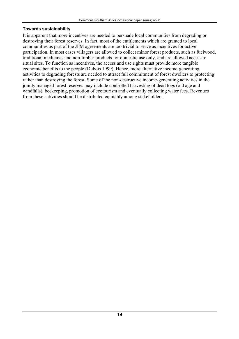#### <span id="page-18-0"></span>**Towards sustainability**

It is apparent that more incentives are needed to persuade local communities from degrading or destroying their forest reserves. In fact, most of the entitlements which are granted to local communities as part of the JFM agreements are too trivial to serve as incentives for active participation. In most cases villagers are allowed to collect minor forest products, such as fuelwood, traditional medicines and non-timber products for domestic use only, and are allowed access to ritual sites. To function as incentives, the access and use rights must provide more tangible economic benefits to the people (Dubois 1999). Hence, more alternative income-generating activities to degrading forests are needed to attract full commitment of forest dwellers to protecting rather than destroying the forest. Some of the non-destructive income-generating activities in the jointly managed forest reserves may include controlled harvesting of dead logs (old age and windfalls), beekeeping, promotion of ecotourism and eventually collecting water fees. Revenues from these activities should be distributed equitably among stakeholders.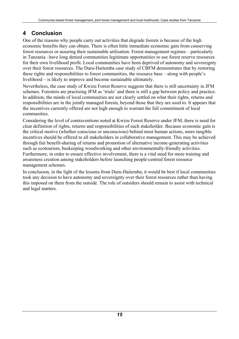### <span id="page-19-0"></span>**4 Conclusion**

One of the reasons why people carry out activities that degrade forests is because of the high economic benefits they can obtain. There is often little immediate economic gain from conserving forest resources or assuring their sustainable utilisation. Forest management regimes – particularly in Tanzania –have long denied communities legitimate opportunities to use forest reserve resources for their own livelihood profit. Local communities have been deprived of autonomy and sovereignty over their forest resources. The Duru-Haitemba case study of CBFM demonstrates that by restoring these rights and responsibilities to forest communities, the resource base – along with people's livelihood – is likely to improve and become sustainable ultimately.

Nevertheless, the case study of Kwizu Forest Reserve suggests that there is still uncertainty in JFM schemes. Foresters are practising JFM as 'trials' and there is still a gap between policy and practice. In addition, the minds of local communities are not clearly settled on what their rights, returns and responsibilities are in the jointly managed forests, beyond those that they are used to. It appears that the incentives currently offered are not high enough to warrant the full commitment of local communities.

Considering the level of contraventions noted at Kwizu Forest Reserve under JFM, there is need for clear definition of rights, returns and responsibilities of each stakeholder. Because economic gain is the critical motive (whether conscious or unconscious) behind most human actions, more tangible incentives should be offered to all stakeholders in collaborative management. This may be achieved through fair benefit-sharing of returns and promotion of alternative income-generating activities such as ecotourism, beekeeping woodworking and other environmentally-friendly activities. Furthermore, in order to ensure effective involvement, there is a vital need for more training and awareness creation among stakeholders before launching people-centred forest resource management schemes.

In conclusion, in the light of the lessons from Duru-Haitemba, it would be best if local communities took any decision to have autonomy and sovereignty over their forest resources rather than having this imposed on them from the outside. The role of outsiders should remain to assist with technical and legal matters.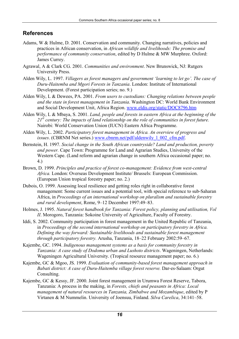### <span id="page-20-0"></span>**References**

- Adams, W & Hulme, D. 2001. Conservation and community. Changing narratives, policies and practices in African conservation, in *African wildlife and livelihoods: The promise and performance of community conservation*, edited by D Hulme & MW Murphree. Oxford: James Currey.
- Agrawal, A & Clark CG. 2001. *Communities and environment*. New Brunswick, NJ: Rutgers University Press.
- Alden Wily, L. 1997. *Villagers as forest managers and government 'learning to let go'. The case of Duru-Haitemba and Mgori Forests in Tanzania*. London: Institute of International Development. (Forest participation series; no. 9.)
- Alden Wily, L & Dewees, PA. 2001. *From users to custodians: Changing relations between people and the state in forest management in Tanzania*. Washington DC: World Bank Environment and Social Development Unit, Africa Region. [www.eldis.org/static/DOC8796.htm](http://www.eldis.org/static/DOC8796.htm)
- Alden Wily, L & Mbaya, S. 2001. *Land, people and forests in eastern Africa at the beginning of the 21st century: The impacts of land relationship on the role of communities in forest future.*  Nairobi: World Conservation Union (IUCN) Eastern Africa Programme.
- Alden Wily, L. 2002. *Participatory forest management in Africa. An overview of progress and issues*. (CBRNM Net series.) www.cbnrm.net/pdf/aldenwily 1 002 cfm.pdf.
- Bernstein, H. 1997. *Social change in the South African countryside? Land and production, poverty and power.* Cape Town: Programme for Land and Agrarian Studies, University of the Western Cape. (Land reform and agrarian change in southern Africa occasional paper; no. 4.)
- Brown, D. 1999. *Principles and practice of forest co-management: Evidence from west-central Africa.* London: Overseas Development Institute/ Brussels: European Commission. (European Union tropical forestry paper; no. 2.)
- Dubois, O. 1999. Assessing local resilience and getting roles right in collaborative forest management: Some current issues and a potential tool, with special reference to sub-Saharan Africa, in *Proceedings of an international workshop on pluralism and sustainable forestry and rural development*, Rome, 9–12 December 1997:49–83.
- Holmes, J. 1995. *Natural forest handbook for Tanzania: Forest policy, planning and utilisation, Vol II*. Morogoro, Tanzania: Sokoine University of Agriculture, Faculty of Forestry.
- Iddi, S. 2002. Community participation in forest management in the United Republic of Tanzania, in *Proceedings of the second international workshop on participatory forestry in Africa. Defining the way forward: Sustainable livelihoods and sustainable forest management through participatory forestry.* Arusha, Tanzania, 18–22 February 2002:59–67.
- Kajembe, GC. 1994. *Indigenous management systems as a basis for community forestry in Tanzania: A case study of Dodoma urban and Lushoto districts*. Wageningen, Netherlands: Wageningen Agricultural University. (Tropical resource management paper; no. 6.)
- Kajembe, GC & Mgoo, JS. 1999. *Evaluation of community-based forest management approach in Babati district: A case of Duru-Haitemba village forest reserve.* Dar-es-Salaam: Orgut Consulting.
- Kajembe, GC & Kessy, JF. 2000. Joint forest management in Urumwa Forest Reserve, Tabora, Tanzania: A process in the making, in *Forests, chiefs and peasants in Africa: Local management of natural resources in Tanzania, Zimbabwe and Mozambique*, edited by P Virtanen & M Nummelin. University of Joensuu, Finland. *Silva Carelica*, 34:141–58.